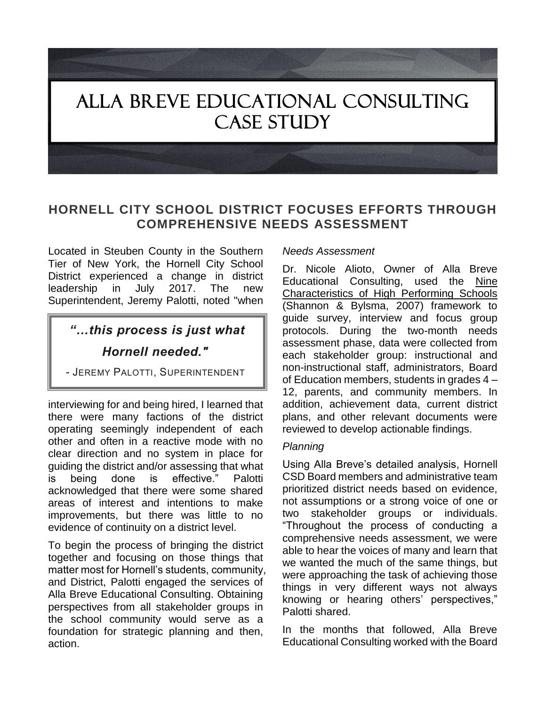# ALLA BREVE EDUCATIONAL CONSULTING CASE STUDY

### **HORNELL CITY SCHOOL DISTRICT FOCUSES EFFORTS THROUGH COMPREHENSIVE NEEDS ASSESSMENT**

Located in Steuben County in the Southern Tier of New York, the Hornell City School District experienced a change in district leadership in July 2017. The new Superintendent, Jeremy Palotti, noted "when

## *"…this process is just what Hornell needed."*

- JEREMY PALOTTI, SUPERINTENDENT

interviewing for and being hired, I learned that there were many factions of the district operating seemingly independent of each other and often in a reactive mode with no clear direction and no system in place for guiding the district and/or assessing that what is being done is effective." Palotti acknowledged that there were some shared areas of interest and intentions to make improvements, but there was little to no evidence of continuity on a district level.

To begin the process of bringing the district together and focusing on those things that matter most for Hornell's students, community, and District, Palotti engaged the services of Alla Breve Educational Consulting. Obtaining perspectives from all stakeholder groups in the school community would serve as a foundation for strategic planning and then, action.

#### *Needs Assessment*

Dr. Nicole Alioto, Owner of Alla Breve Educational Consulting, used the Nine Characteristics of High Performing Schools (Shannon & Bylsma, 2007) framework to guide survey, interview and focus group protocols. During the two-month needs assessment phase, data were collected from each stakeholder group: instructional and non-instructional staff, administrators, Board of Education members, students in grades 4 – 12, parents, and community members. In addition, achievement data, current district plans, and other relevant documents were reviewed to develop actionable findings.

#### *Planning*

Using Alla Breve's detailed analysis, Hornell CSD Board members and administrative team prioritized district needs based on evidence, not assumptions or a strong voice of one or two stakeholder groups or individuals. "Throughout the process of conducting a comprehensive needs assessment, we were able to hear the voices of many and learn that we wanted the much of the same things, but were approaching the task of achieving those things in very different ways not always knowing or hearing others' perspectives," Palotti shared.

In the months that followed, Alla Breve Educational Consulting worked with the Board